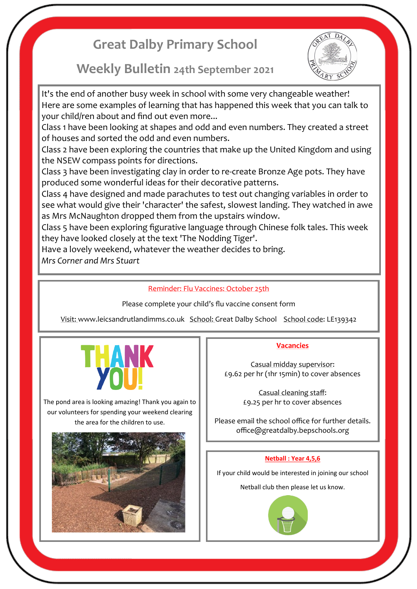# **Great Dalby Primary School**

## **Weekly Bulletin 24th September 2021**



It's the end of another busy week in school with some very changeable weather! Here are some examples of learning that has happened this week that you can talk to your child/ren about and find out even more...

Class 1 have been looking at shapes and odd and even numbers. They created a street of houses and sorted the odd and even numbers.

Class 2 have been exploring the countries that make up the United Kingdom and using the NSEW compass points for directions.

Class 3 have been investigating clay in order to re-create Bronze Age pots. They have produced some wonderful ideas for their decorative patterns.

Class 4 have designed and made parachutes to test out changing variables in order to see what would give their 'character' the safest, slowest landing. They watched in awe as Mrs McNaughton dropped them from the upstairs window.

Class 5 have been exploring figurative language through Chinese folk tales. This week they have looked closely at the text 'The Nodding Tiger'.

Have a lovely weekend, whatever the weather decides to bring.

*Mrs Corner and Mrs Stuart*

### Reminder: Flu Vaccines: October 25th

Please complete your child's flu vaccine consent form

Visit: www.leicsandrutlandimms.co.uk School: Great Dalby School School code: LE139342



The pond area is looking amazing! Thank you again to our volunteers for spending your weekend clearing the area for the children to use.



#### **Vacancies**

Casual midday supervisor: £9.62 per hr (1hr 15min) to cover absences

> Casual cleaning staff: £9.25 per hr to cover absences

Please email the school office for further details. office@greatdalby.bepschools.org

#### **Netball : Year 4,5,6**

If your child would be interested in joining our school

Netball club then please let us know.

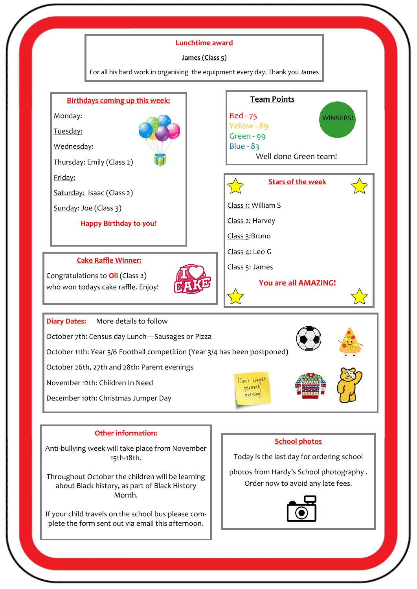